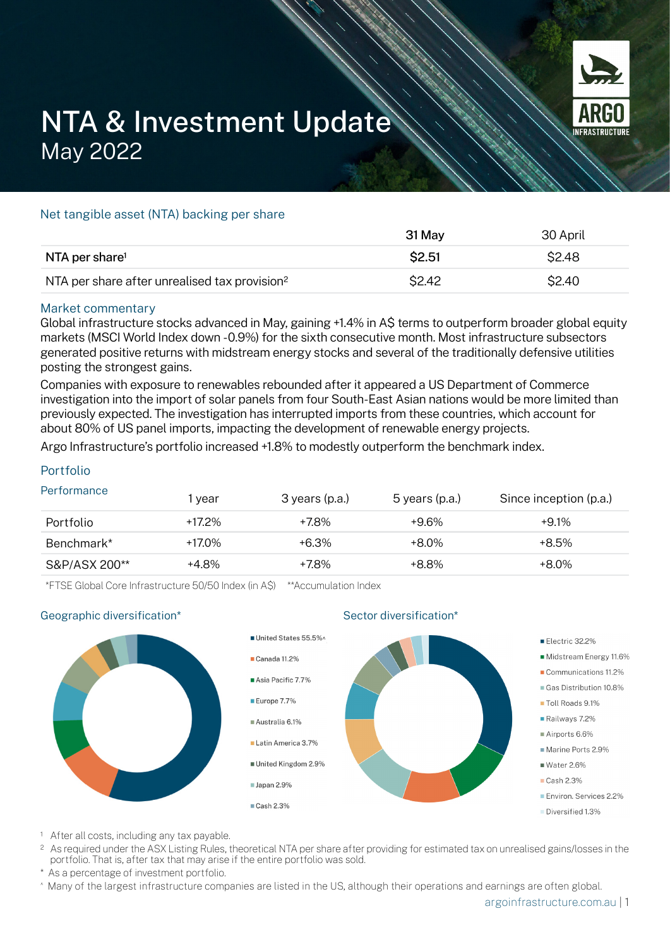

# NTA & Investment Update May 2022

## Net tangible asset (NTA) backing per share

|                                                           | 31 May       | 30 April |
|-----------------------------------------------------------|--------------|----------|
| NTA per share <sup>1</sup>                                | \$2.51       | \$2.48   |
| NTA per share after unrealised tax provision <sup>2</sup> | <b>S2.42</b> | \$2.40   |

#### Market commentary

Global infrastructure stocks advanced in May, gaining +1.4% in A\$ terms to outperform broader global equity markets (MSCI World Index down -0.9%) for the sixth consecutive month. Most infrastructure subsectors generated positive returns with midstream energy stocks and several of the traditionally defensive utilities posting the strongest gains.

Companies with exposure to renewables rebounded after it appeared a US Department of Commerce investigation into the import of solar panels from four South-East Asian nations would be more limited than previously expected. The investigation has interrupted imports from these countries, which account for about 80% of US panel imports, impacting the development of renewable energy projects.

Argo Infrastructure's portfolio increased +1.8% to modestly outperform the benchmark index.

# Portfolio

| Performance   | l year    | 3 years (p.a.) | 5 years (p.a.) | Since inception (p.a.) |
|---------------|-----------|----------------|----------------|------------------------|
| Portfolio     | $+17.2\%$ | +7.8%          | +9.6%          | $+9.1\%$               |
| Benchmark*    | +17.0%    | $+6.3\%$       | $+8.0\%$       | $+8.5\%$               |
| S&P/ASX 200** | +4.8%     | +7.8%          | +8.8%          | $+8.0\%$               |

\*FTSE Global Core Infrastructure 50/50 Index (in A\$) \*\*Accumulation Index

#### Geographic diversification\*



Sector diversification<sup>\*</sup>

- <sup>1</sup> After all costs, including any tax payable.
- <sup>2</sup> As required under the ASX Listing Rules, theoretical NTA per share after providing for estimated tax on unrealised gains/losses in the portfolio. That is, after tax that may arise if the entire portfolio was sold.
- As a percentage of investment portfolio.
- ^ Many of the largest infrastructure companies are listed in the US, although their operations and earnings are often global.